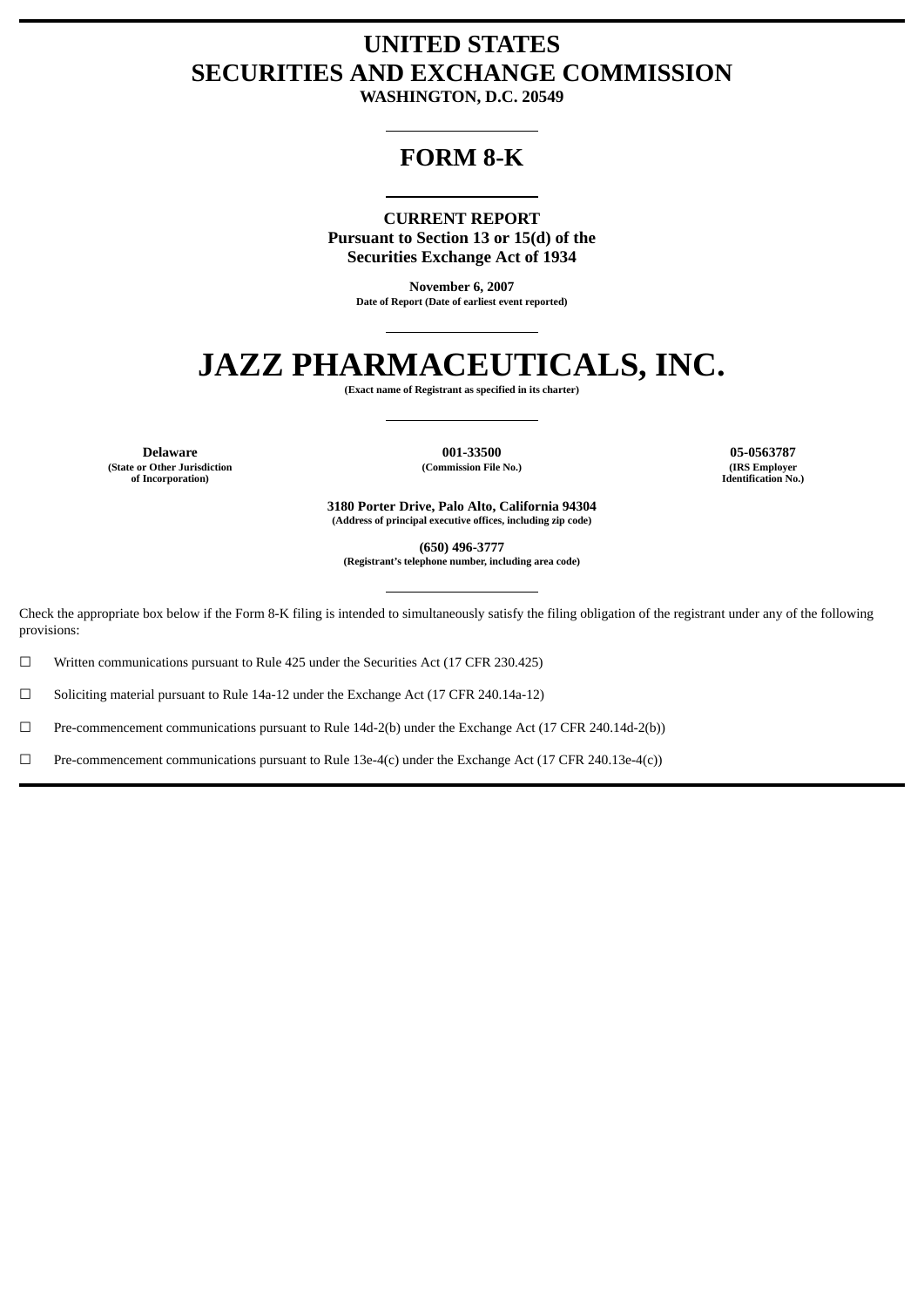# **UNITED STATES SECURITIES AND EXCHANGE COMMISSION**

**WASHINGTON, D.C. 20549**

## **FORM 8-K**

**CURRENT REPORT Pursuant to Section 13 or 15(d) of the Securities Exchange Act of 1934**

> **November 6, 2007 Date of Report (Date of earliest event reported)**

# **JAZZ PHARMACEUTICALS, INC.**

**(Exact name of Registrant as specified in its charter)**

**Delaware 001-33500 05-0563787 (State or Other Jurisdiction of Incorporation)**

**(Commission File No.) (IRS Employer**

**Identification No.)**

**3180 Porter Drive, Palo Alto, California 94304 (Address of principal executive offices, including zip code)**

**(650) 496-3777**

**(Registrant's telephone number, including area code)**

Check the appropriate box below if the Form 8-K filing is intended to simultaneously satisfy the filing obligation of the registrant under any of the following provisions:

 $\Box$  Written communications pursuant to Rule 425 under the Securities Act (17 CFR 230.425)

☐ Soliciting material pursuant to Rule 14a-12 under the Exchange Act (17 CFR 240.14a-12)

☐ Pre-commencement communications pursuant to Rule 14d-2(b) under the Exchange Act (17 CFR 240.14d-2(b))

 $\Box$  Pre-commencement communications pursuant to Rule 13e-4(c) under the Exchange Act (17 CFR 240.13e-4(c))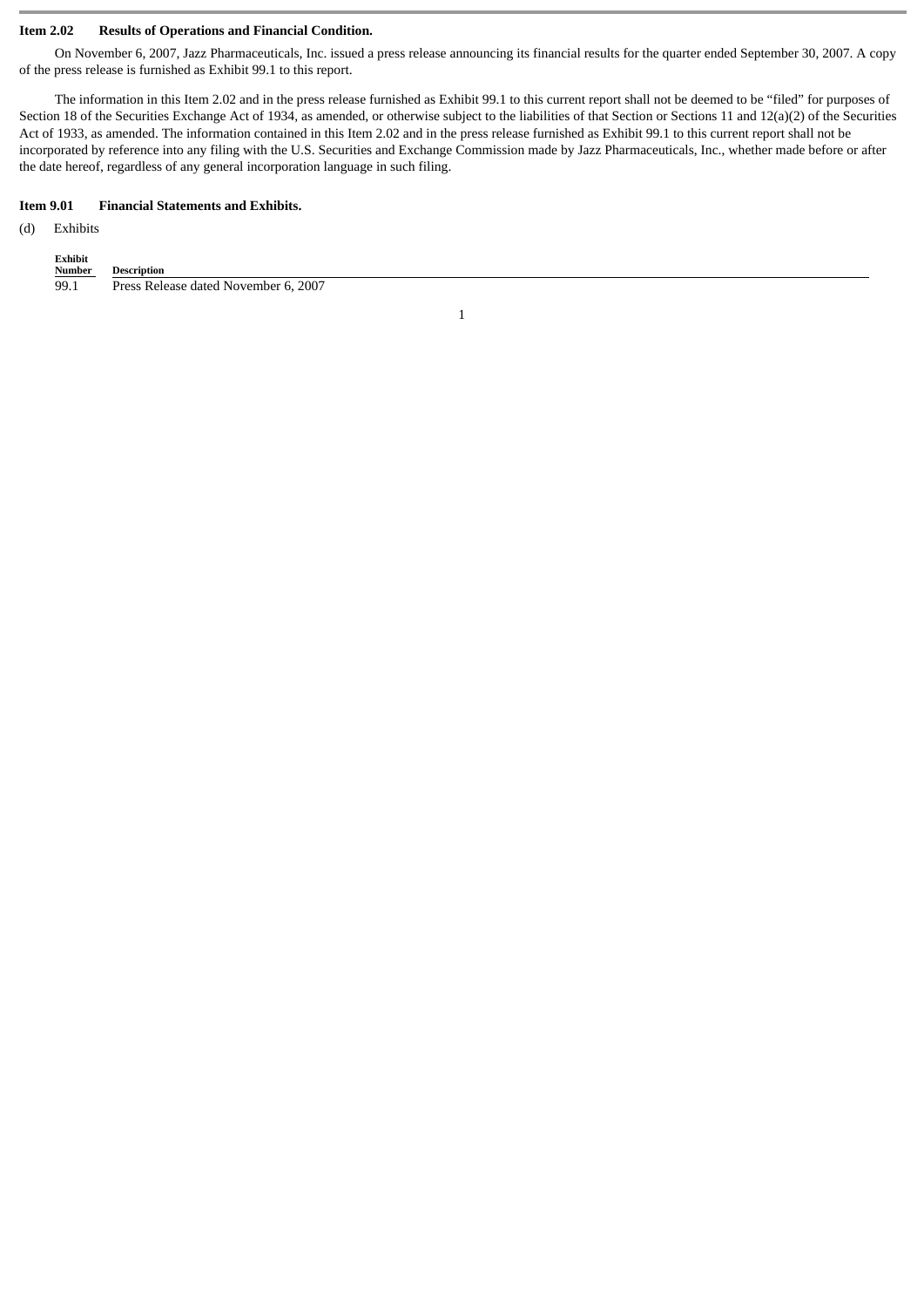#### **Item 2.02 Results of Operations and Financial Condition.**

On November 6, 2007, Jazz Pharmaceuticals, Inc. issued a press release announcing its financial results for the quarter ended September 30, 2007. A copy of the press release is furnished as Exhibit 99.1 to this report.

The information in this Item 2.02 and in the press release furnished as Exhibit 99.1 to this current report shall not be deemed to be "filed" for purposes of Section 18 of the Securities Exchange Act of 1934, as amended, or otherwise subject to the liabilities of that Section or Sections 11 and 12(a)(2) of the Securities Act of 1933, as amended. The information contained in this Item 2.02 and in the press release furnished as Exhibit 99.1 to this current report shall not be incorporated by reference into any filing with the U.S. Securities and Exchange Commission made by Jazz Pharmaceuticals, Inc., whether made before or after the date hereof, regardless of any general incorporation language in such filing.

#### **Item 9.01 Financial Statements and Exhibits.**

### (d) Exhibits

| Exhibit       |                                      |
|---------------|--------------------------------------|
| <b>Number</b> | Description                          |
| 99.1          | Press Release dated November 6, 2007 |

1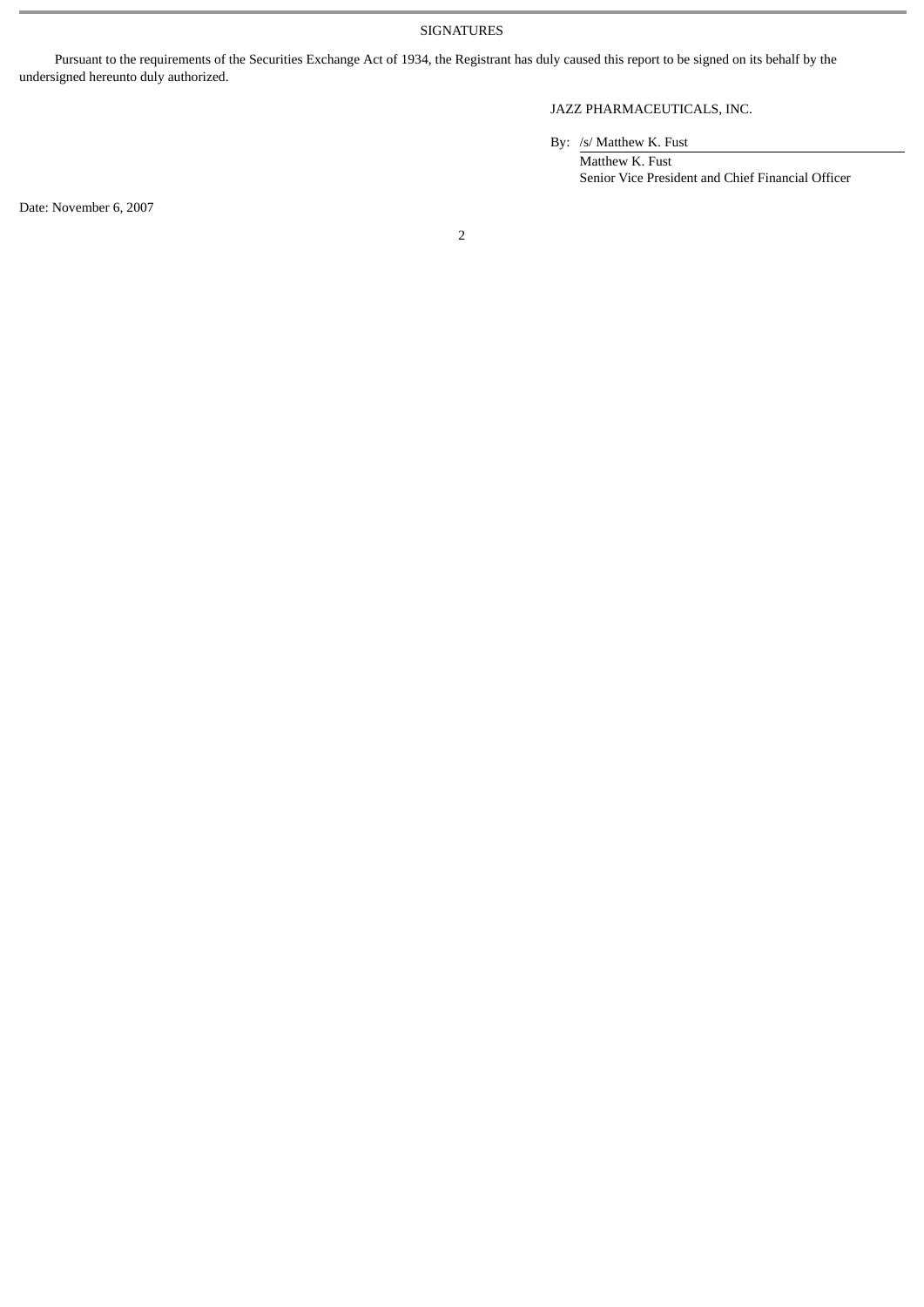SIGNATURES

Pursuant to the requirements of the Securities Exchange Act of 1934, the Registrant has duly caused this report to be signed on its behalf by the undersigned hereunto duly authorized.

## JAZZ PHARMACEUTICALS, INC.

By: /s/ Matthew K. Fust

Matthew K. Fust Senior Vice President and Chief Financial Officer

Date: November 6, 2007

2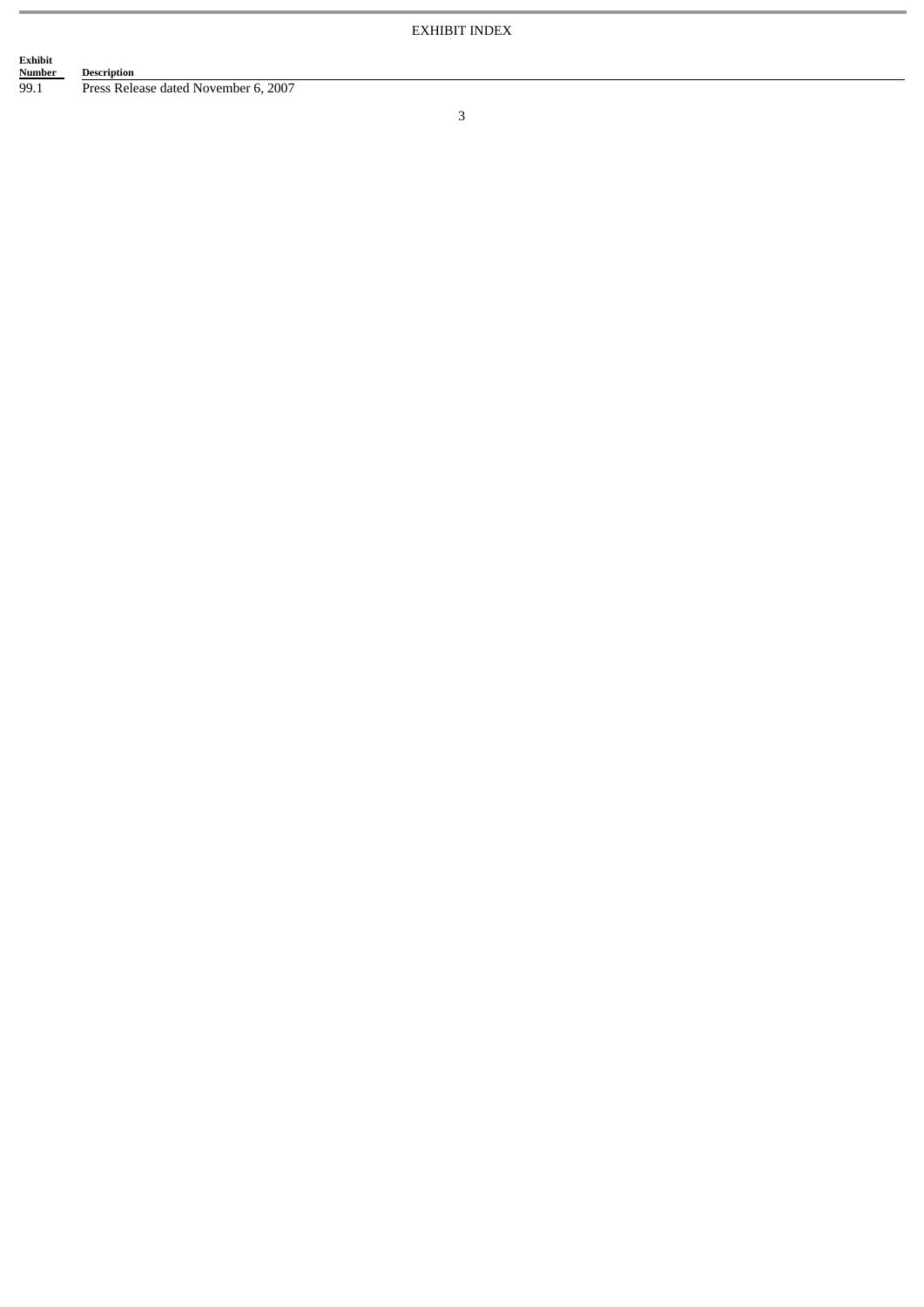# Exhibit<br><u>Number</u><br>99.1 **Description**

Press Release dated November 6, 2007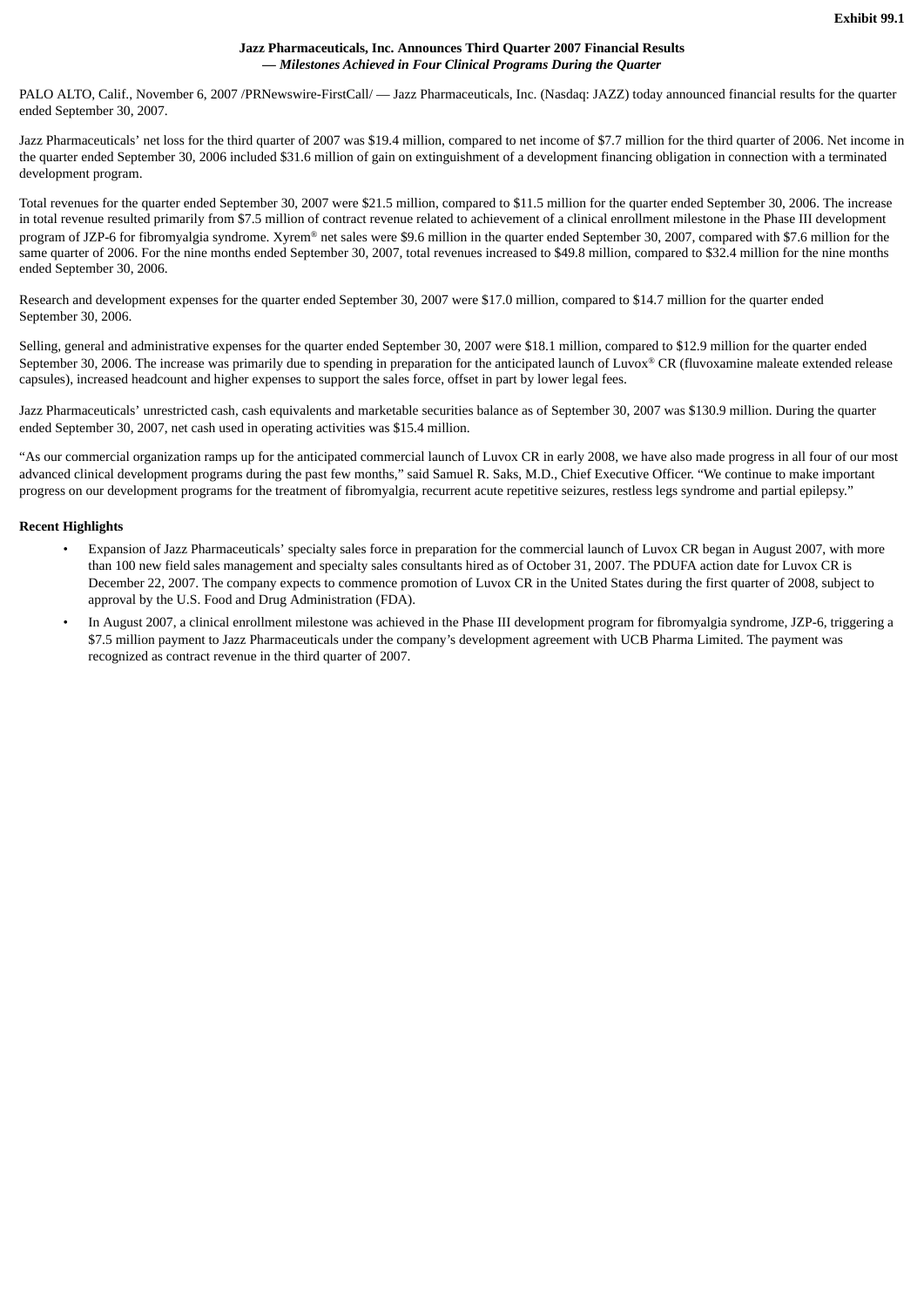#### **Jazz Pharmaceuticals, Inc. Announces Third Quarter 2007 Financial Results** *— Milestones Achieved in Four Clinical Programs During the Quarter*

PALO ALTO, Calif., November 6, 2007 /PRNewswire-FirstCall/ — Jazz Pharmaceuticals, Inc. (Nasdaq: JAZZ) today announced financial results for the quarter ended September 30, 2007.

Jazz Pharmaceuticals' net loss for the third quarter of 2007 was \$19.4 million, compared to net income of \$7.7 million for the third quarter of 2006. Net income in the quarter ended September 30, 2006 included \$31.6 million of gain on extinguishment of a development financing obligation in connection with a terminated development program.

Total revenues for the quarter ended September 30, 2007 were \$21.5 million, compared to \$11.5 million for the quarter ended September 30, 2006. The increase in total revenue resulted primarily from \$7.5 million of contract revenue related to achievement of a clinical enrollment milestone in the Phase III development program of JZP-6 for fibromyalgia syndrome. Xyrem® net sales were \$9.6 million in the quarter ended September 30, 2007, compared with \$7.6 million for the same quarter of 2006. For the nine months ended September 30, 2007, total revenues increased to \$49.8 million, compared to \$32.4 million for the nine months ended September 30, 2006.

Research and development expenses for the quarter ended September 30, 2007 were \$17.0 million, compared to \$14.7 million for the quarter ended September 30, 2006.

Selling, general and administrative expenses for the quarter ended September 30, 2007 were \$18.1 million, compared to \$12.9 million for the quarter ended September 30, 2006. The increase was primarily due to spending in preparation for the anticipated launch of Luvox® CR (fluvoxamine maleate extended release capsules), increased headcount and higher expenses to support the sales force, offset in part by lower legal fees.

Jazz Pharmaceuticals' unrestricted cash, cash equivalents and marketable securities balance as of September 30, 2007 was \$130.9 million. During the quarter ended September 30, 2007, net cash used in operating activities was \$15.4 million.

"As our commercial organization ramps up for the anticipated commercial launch of Luvox CR in early 2008, we have also made progress in all four of our most advanced clinical development programs during the past few months," said Samuel R. Saks, M.D., Chief Executive Officer. "We continue to make important progress on our development programs for the treatment of fibromyalgia, recurrent acute repetitive seizures, restless legs syndrome and partial epilepsy."

#### **Recent Highlights**

- Expansion of Jazz Pharmaceuticals' specialty sales force in preparation for the commercial launch of Luvox CR began in August 2007, with more than 100 new field sales management and specialty sales consultants hired as of October 31, 2007. The PDUFA action date for Luvox CR is December 22, 2007. The company expects to commence promotion of Luvox CR in the United States during the first quarter of 2008, subject to approval by the U.S. Food and Drug Administration (FDA).
- In August 2007, a clinical enrollment milestone was achieved in the Phase III development program for fibromyalgia syndrome, JZP-6, triggering a \$7.5 million payment to Jazz Pharmaceuticals under the company's development agreement with UCB Pharma Limited. The payment was recognized as contract revenue in the third quarter of 2007.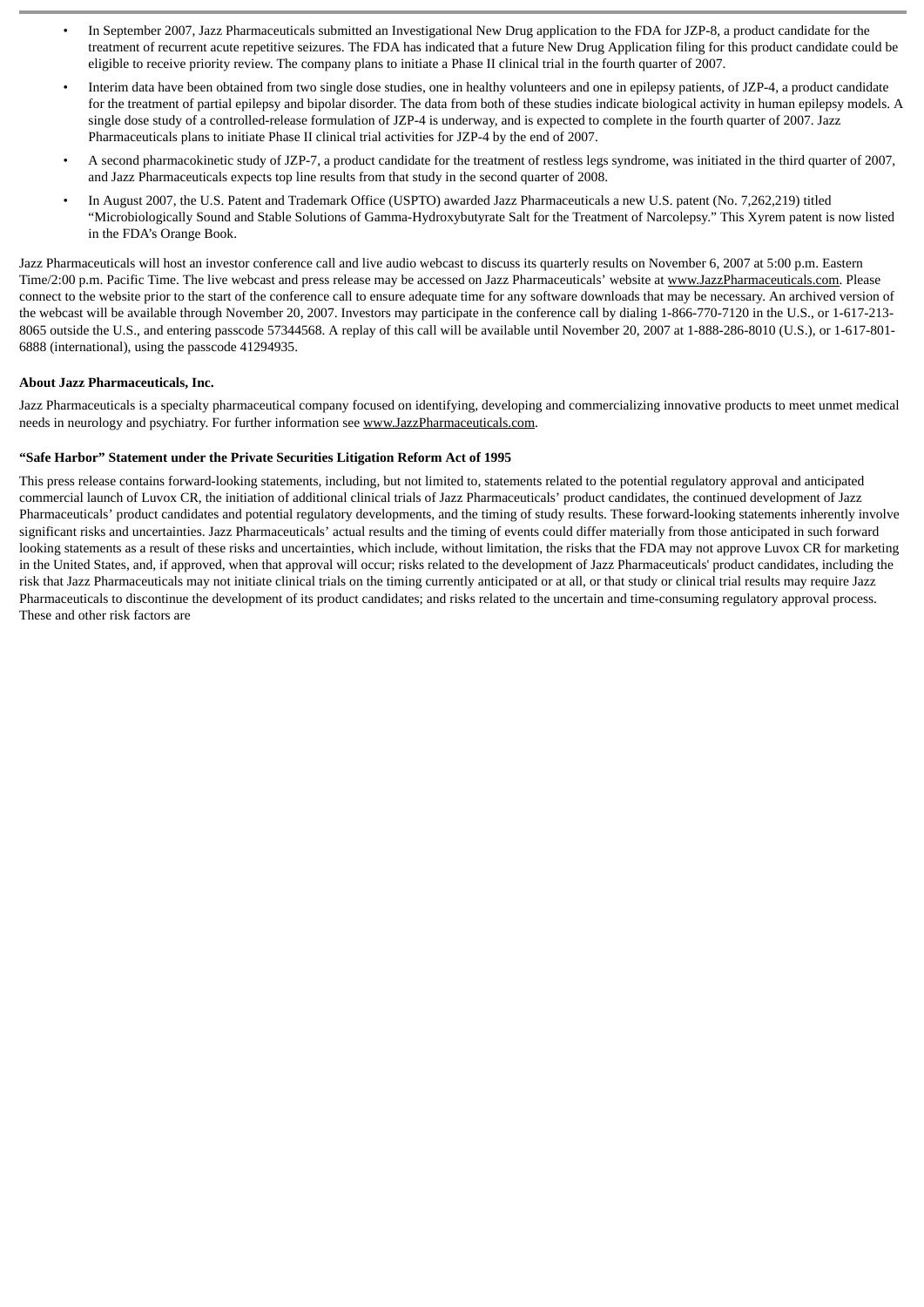- In September 2007, Jazz Pharmaceuticals submitted an Investigational New Drug application to the FDA for JZP-8, a product candidate for the treatment of recurrent acute repetitive seizures. The FDA has indicated that a future New Drug Application filing for this product candidate could be eligible to receive priority review. The company plans to initiate a Phase II clinical trial in the fourth quarter of 2007.
- Interim data have been obtained from two single dose studies, one in healthy volunteers and one in epilepsy patients, of JZP-4, a product candidate for the treatment of partial epilepsy and bipolar disorder. The data from both of these studies indicate biological activity in human epilepsy models. A single dose study of a controlled-release formulation of JZP-4 is underway, and is expected to complete in the fourth quarter of 2007. Jazz Pharmaceuticals plans to initiate Phase II clinical trial activities for JZP-4 by the end of 2007.
- A second pharmacokinetic study of JZP-7, a product candidate for the treatment of restless legs syndrome, was initiated in the third quarter of 2007, and Jazz Pharmaceuticals expects top line results from that study in the second quarter of 2008.
- In August 2007, the U.S. Patent and Trademark Office (USPTO) awarded Jazz Pharmaceuticals a new U.S. patent (No. 7,262,219) titled "Microbiologically Sound and Stable Solutions of Gamma-Hydroxybutyrate Salt for the Treatment of Narcolepsy." This Xyrem patent is now listed in the FDA's Orange Book.

Jazz Pharmaceuticals will host an investor conference call and live audio webcast to discuss its quarterly results on November 6, 2007 at 5:00 p.m. Eastern Time/2:00 p.m. Pacific Time. The live webcast and press release may be accessed on Jazz Pharmaceuticals' website at www.JazzPharmaceuticals.com. Please connect to the website prior to the start of the conference call to ensure adequate time for any software downloads that may be necessary. An archived version of the webcast will be available through November 20, 2007. Investors may participate in the conference call by dialing 1-866-770-7120 in the U.S., or 1-617-213- 8065 outside the U.S., and entering passcode 57344568. A replay of this call will be available until November 20, 2007 at 1-888-286-8010 (U.S.), or 1-617-801- 6888 (international), using the passcode 41294935.

#### **About Jazz Pharmaceuticals, Inc.**

Jazz Pharmaceuticals is a specialty pharmaceutical company focused on identifying, developing and commercializing innovative products to meet unmet medical needs in neurology and psychiatry. For further information see www.JazzPharmaceuticals.com.

#### **"Safe Harbor" Statement under the Private Securities Litigation Reform Act of 1995**

This press release contains forward-looking statements, including, but not limited to, statements related to the potential regulatory approval and anticipated commercial launch of Luvox CR, the initiation of additional clinical trials of Jazz Pharmaceuticals' product candidates, the continued development of Jazz Pharmaceuticals' product candidates and potential regulatory developments, and the timing of study results. These forward-looking statements inherently involve significant risks and uncertainties. Jazz Pharmaceuticals' actual results and the timing of events could differ materially from those anticipated in such forward looking statements as a result of these risks and uncertainties, which include, without limitation, the risks that the FDA may not approve Luvox CR for marketing in the United States, and, if approved, when that approval will occur; risks related to the development of Jazz Pharmaceuticals' product candidates, including the risk that Jazz Pharmaceuticals may not initiate clinical trials on the timing currently anticipated or at all, or that study or clinical trial results may require Jazz Pharmaceuticals to discontinue the development of its product candidates; and risks related to the uncertain and time-consuming regulatory approval process. These and other risk factors are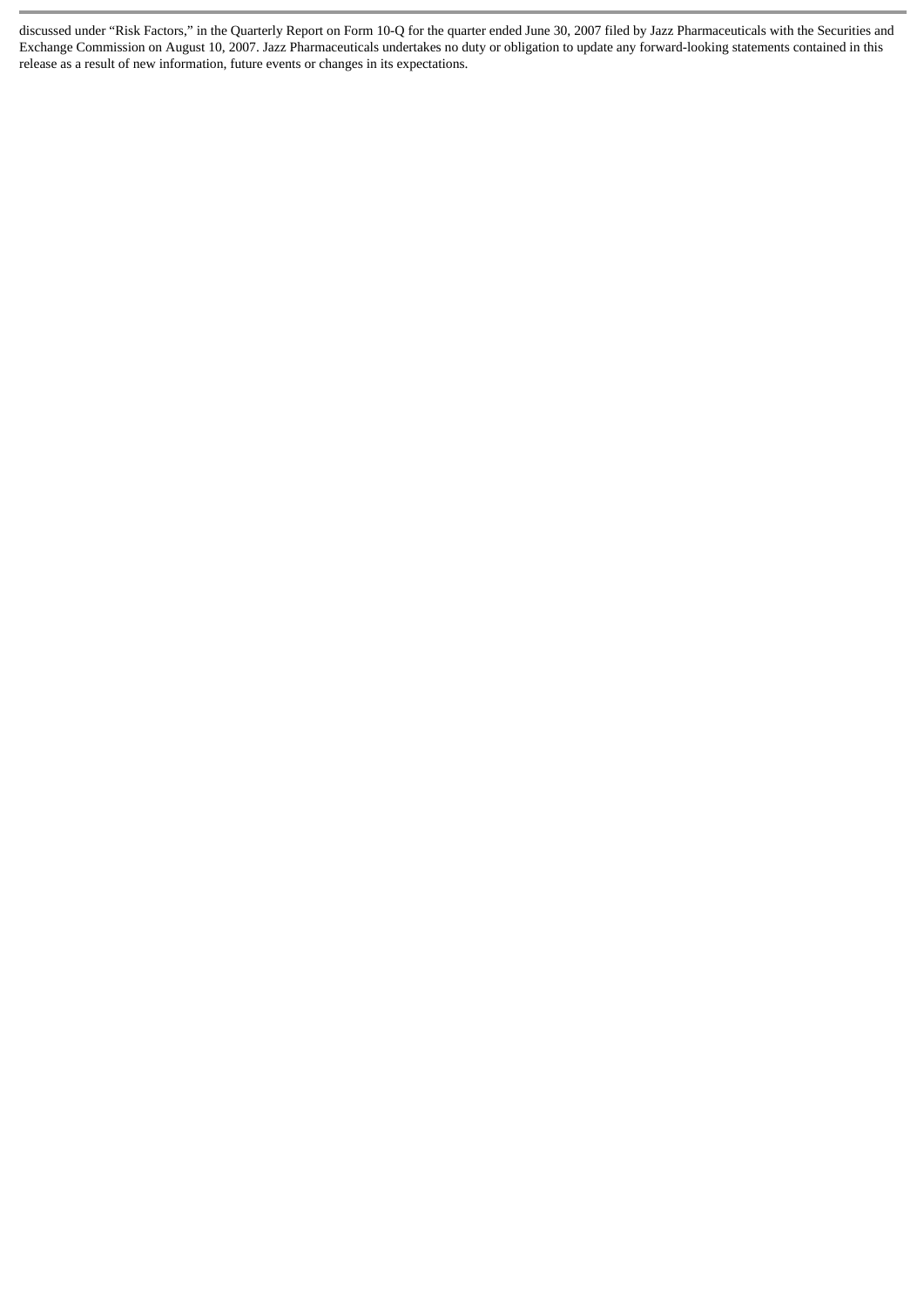discussed under "Risk Factors," in the Quarterly Report on Form 10-Q for the quarter ended June 30, 2007 filed by Jazz Pharmaceuticals with the Securities and Exchange Commission on August 10, 2007. Jazz Pharmaceuticals undertakes no duty or obligation to update any forward-looking statements contained in this release as a result of new information, future events or changes in its expectations.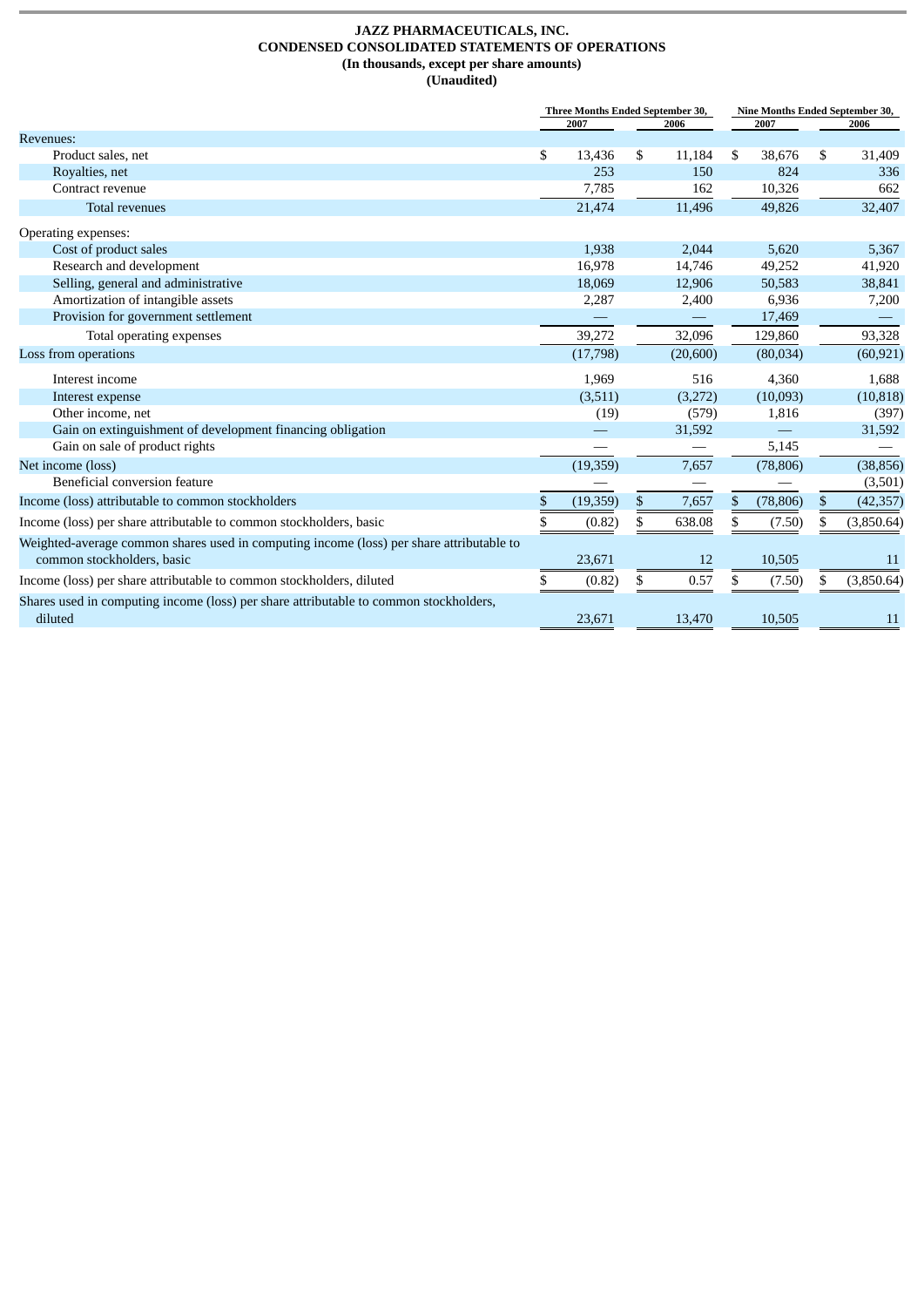#### **JAZZ PHARMACEUTICALS, INC. CONDENSED CONSOLIDATED STATEMENTS OF OPERATIONS (In thousands, except per share amounts) (Unaudited)**

|                                                                                                                        | Three Months Ended September 30, |           |    |           | Nine Months Ended September 30, |    |            |
|------------------------------------------------------------------------------------------------------------------------|----------------------------------|-----------|----|-----------|---------------------------------|----|------------|
|                                                                                                                        |                                  | 2007      |    | 2006      | 2007                            |    | 2006       |
| <b>Revenues:</b>                                                                                                       |                                  |           |    |           |                                 |    |            |
| Product sales, net                                                                                                     | \$                               | 13,436    | \$ | 11,184    | \$<br>38,676                    | \$ | 31,409     |
| Royalties, net                                                                                                         |                                  | 253       |    | 150       | 824                             |    | 336        |
| Contract revenue                                                                                                       |                                  | 7,785     |    | 162       | 10,326                          |    | 662        |
| <b>Total revenues</b>                                                                                                  |                                  | 21,474    |    | 11,496    | 49,826                          |    | 32,407     |
| Operating expenses:                                                                                                    |                                  |           |    |           |                                 |    |            |
| Cost of product sales                                                                                                  |                                  | 1.938     |    | 2.044     | 5.620                           |    | 5,367      |
| Research and development                                                                                               |                                  | 16,978    |    | 14,746    | 49,252                          |    | 41,920     |
| Selling, general and administrative                                                                                    |                                  | 18,069    |    | 12,906    | 50,583                          |    | 38,841     |
| Amortization of intangible assets                                                                                      |                                  | 2,287     |    | 2,400     | 6,936                           |    | 7,200      |
| Provision for government settlement                                                                                    |                                  |           |    |           | 17,469                          |    |            |
| Total operating expenses                                                                                               |                                  | 39,272    |    | 32,096    | 129,860                         |    | 93,328     |
| Loss from operations                                                                                                   |                                  | (17,798)  |    | (20, 600) | (80,034)                        |    | (60, 921)  |
| Interest income                                                                                                        |                                  | 1,969     |    | 516       | 4,360                           |    | 1,688      |
| Interest expense                                                                                                       |                                  | (3,511)   |    | (3,272)   | (10,093)                        |    | (10, 818)  |
| Other income, net                                                                                                      |                                  | (19)      |    | (579)     | 1,816                           |    | (397)      |
| Gain on extinguishment of development financing obligation                                                             |                                  |           |    | 31,592    |                                 |    | 31,592     |
| Gain on sale of product rights                                                                                         |                                  |           |    |           | 5,145                           |    |            |
| Net income (loss)                                                                                                      |                                  | (19, 359) |    | 7,657     | (78, 806)                       |    | (38, 856)  |
| Beneficial conversion feature                                                                                          |                                  |           |    |           |                                 |    | (3,501)    |
| Income (loss) attributable to common stockholders                                                                      | \$                               | (19, 359) | \$ | 7,657     | \$<br>(78, 806)                 | \$ | (42, 357)  |
| Income (loss) per share attributable to common stockholders, basic                                                     | \$                               | (0.82)    | \$ | 638.08    | \$<br>(7.50)                    |    | (3,850.64) |
| Weighted-average common shares used in computing income (loss) per share attributable to<br>common stockholders, basic |                                  | 23,671    |    | 12        | 10,505                          |    | 11         |
| Income (loss) per share attributable to common stockholders, diluted                                                   | S                                | (0.82)    | \$ | 0.57      | \$<br>(7.50)                    | S  | (3,850.64) |
| Shares used in computing income (loss) per share attributable to common stockholders,<br>diluted                       |                                  | 23,671    |    | 13,470    | 10,505                          |    | 11         |
|                                                                                                                        |                                  |           |    |           |                                 |    |            |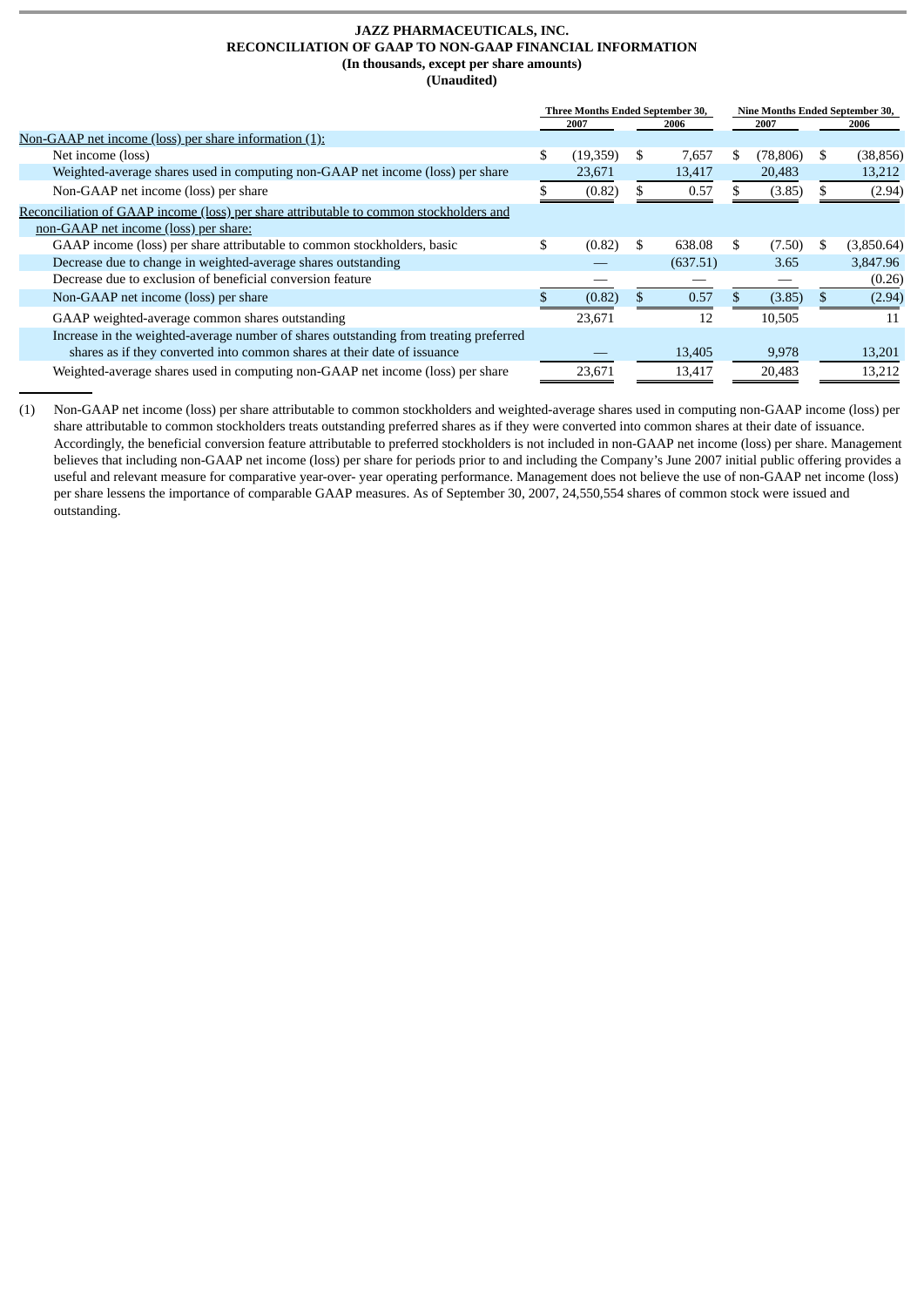#### **JAZZ PHARMACEUTICALS, INC. RECONCILIATION OF GAAP TO NON-GAAP FINANCIAL INFORMATION (In thousands, except per share amounts) (Unaudited)**

|                                                                                        | Three Months Ended September 30, |           |    |          |      |           |    | Nine Months Ended September 30, |  |
|----------------------------------------------------------------------------------------|----------------------------------|-----------|----|----------|------|-----------|----|---------------------------------|--|
|                                                                                        |                                  | 2007      |    | 2006     | 2007 |           |    | 2006                            |  |
| Non-GAAP net income (loss) per share information (1):                                  |                                  |           |    |          |      |           |    |                                 |  |
| Net income (loss)                                                                      | \$                               | (19, 359) | \$ | 7,657    | S    | (78, 806) | S  | (38, 856)                       |  |
| Weighted-average shares used in computing non-GAAP net income (loss) per share         |                                  | 23,671    |    | 13,417   |      | 20,483    |    | 13,212                          |  |
| Non-GAAP net income (loss) per share                                                   |                                  | (0.82)    |    | 0.57     |      | (3.85)    |    | (2.94)                          |  |
| Reconciliation of GAAP income (loss) per share attributable to common stockholders and |                                  |           |    |          |      |           |    |                                 |  |
| non-GAAP net income (loss) per share:                                                  |                                  |           |    |          |      |           |    |                                 |  |
| GAAP income (loss) per share attributable to common stockholders, basic                | \$                               | (0.82)    | \$ | 638.08   | \$.  | (7.50)    | S. | (3,850.64)                      |  |
| Decrease due to change in weighted-average shares outstanding                          |                                  |           |    | (637.51) |      | 3.65      |    | 3,847.96                        |  |
| Decrease due to exclusion of beneficial conversion feature                             |                                  |           |    |          |      |           |    | (0.26)                          |  |
| Non-GAAP net income (loss) per share                                                   |                                  | (0.82)    |    | 0.57     |      | (3.85)    |    | (2.94)                          |  |
| GAAP weighted-average common shares outstanding                                        |                                  | 23,671    |    | 12       |      | 10,505    |    | 11                              |  |
| Increase in the weighted-average number of shares outstanding from treating preferred  |                                  |           |    |          |      |           |    |                                 |  |
| shares as if they converted into common shares at their date of issuance               |                                  |           |    | 13,405   |      | 9,978     |    | 13,201                          |  |
| Weighted-average shares used in computing non-GAAP net income (loss) per share         |                                  | 23,671    |    | 13,417   |      | 20,483    |    | 13,212                          |  |

(1) Non-GAAP net income (loss) per share attributable to common stockholders and weighted-average shares used in computing non-GAAP income (loss) per share attributable to common stockholders treats outstanding preferred shares as if they were converted into common shares at their date of issuance. Accordingly, the beneficial conversion feature attributable to preferred stockholders is not included in non-GAAP net income (loss) per share. Management believes that including non-GAAP net income (loss) per share for periods prior to and including the Company's June 2007 initial public offering provides a useful and relevant measure for comparative year-over- year operating performance. Management does not believe the use of non-GAAP net income (loss) per share lessens the importance of comparable GAAP measures. As of September 30, 2007, 24,550,554 shares of common stock were issued and outstanding.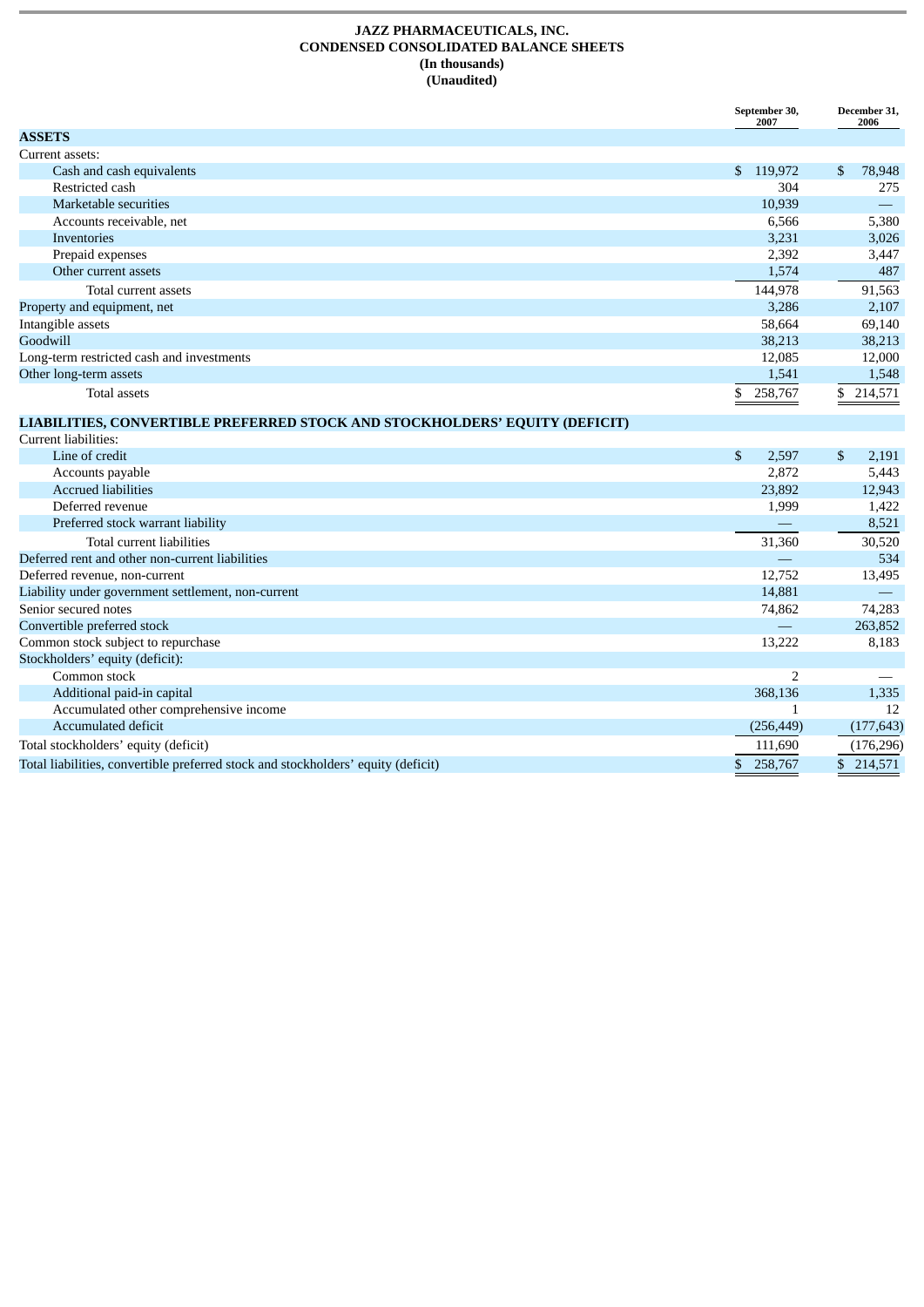#### **JAZZ PHARMACEUTICALS, INC. CONDENSED CONSOLIDATED BALANCE SHEETS (In thousands) (Unaudited)**

|                                                                                   | September 30,<br>2007 | December 31,<br>2006 |  |  |
|-----------------------------------------------------------------------------------|-----------------------|----------------------|--|--|
| <b>ASSETS</b>                                                                     |                       |                      |  |  |
| Current assets:                                                                   |                       |                      |  |  |
| Cash and cash equivalents                                                         | \$ 119,972            | \$<br>78,948         |  |  |
| Restricted cash                                                                   | 304                   | 275                  |  |  |
| Marketable securities                                                             | 10,939                |                      |  |  |
| Accounts receivable, net                                                          | 6,566                 | 5,380                |  |  |
| Inventories                                                                       | 3,231                 | 3,026                |  |  |
| Prepaid expenses                                                                  | 2,392                 | 3,447                |  |  |
| Other current assets                                                              | 1,574                 | 487                  |  |  |
| Total current assets                                                              | 144,978               | 91,563               |  |  |
| Property and equipment, net                                                       | 3,286                 | 2,107                |  |  |
| Intangible assets                                                                 | 58,664                | 69,140               |  |  |
| Goodwill                                                                          | 38,213                | 38,213               |  |  |
| Long-term restricted cash and investments                                         | 12,085                | 12,000               |  |  |
| Other long-term assets                                                            | 1,541                 | 1,548                |  |  |
| <b>Total assets</b>                                                               | \$<br>258,767         | \$214,571            |  |  |
| LIABILITIES, CONVERTIBLE PREFERRED STOCK AND STOCKHOLDERS' EQUITY (DEFICIT)       |                       |                      |  |  |
| Current liabilities:                                                              |                       |                      |  |  |
| Line of credit                                                                    | $\mathbb{S}$<br>2,597 | \$<br>2,191          |  |  |
| Accounts payable                                                                  | 2,872                 | 5,443                |  |  |
| <b>Accrued liabilities</b>                                                        | 23.892                | 12,943               |  |  |
| Deferred revenue                                                                  | 1,999                 | 1,422                |  |  |
| Preferred stock warrant liability                                                 |                       | 8,521                |  |  |
| Total current liabilities                                                         | 31,360                | 30,520               |  |  |
| Deferred rent and other non-current liabilities                                   |                       | 534                  |  |  |
| Deferred revenue, non-current                                                     | 12,752                | 13,495               |  |  |
| Liability under government settlement, non-current                                | 14,881                | $\qquad \qquad =$    |  |  |
| Senior secured notes                                                              | 74,862                | 74,283               |  |  |
| Convertible preferred stock                                                       |                       | 263,852              |  |  |
| Common stock subject to repurchase                                                | 13,222                | 8,183                |  |  |
| Stockholders' equity (deficit):                                                   |                       |                      |  |  |
| Common stock                                                                      | $\overline{2}$        |                      |  |  |
| Additional paid-in capital                                                        | 368,136               | 1,335                |  |  |
| Accumulated other comprehensive income                                            | 1                     | 12                   |  |  |
| Accumulated deficit                                                               | (256, 449)            | (177, 643)           |  |  |
| Total stockholders' equity (deficit)                                              | 111,690               | (176, 296)           |  |  |
| Total liabilities, convertible preferred stock and stockholders' equity (deficit) | \$ 258,767            | \$214,571            |  |  |